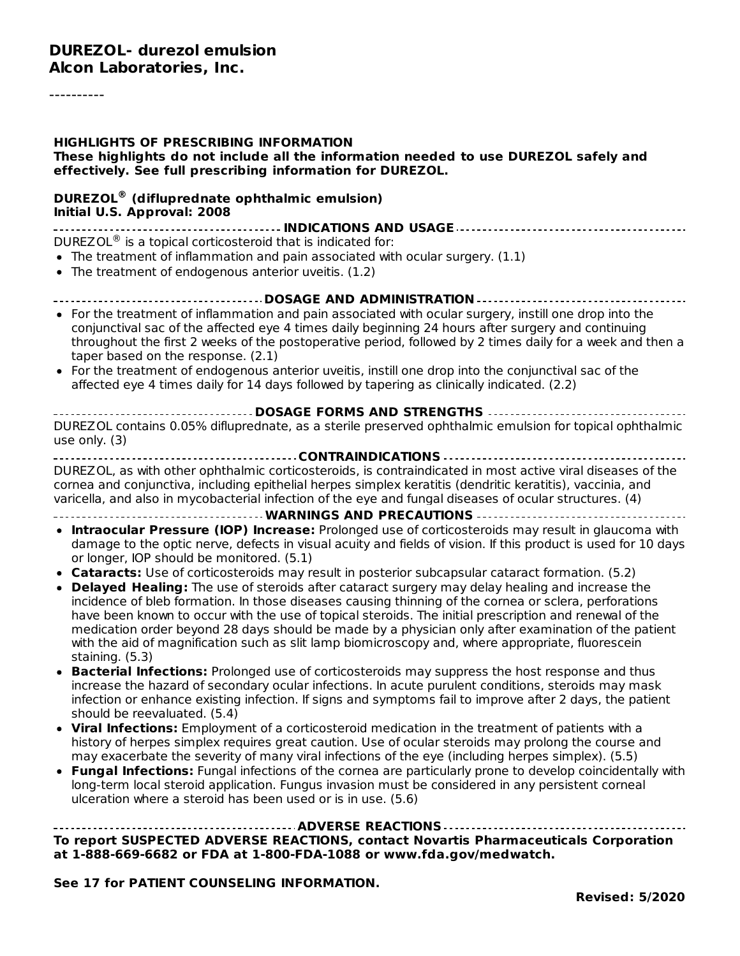#### **HIGHLIGHTS OF PRESCRIBING INFORMATION These highlights do not include all the information needed to use DUREZOL safely and effectively. See full prescribing information for DUREZOL.**

#### **DUREZOL (difluprednate ophthalmic emulsion) ® Initial U.S. Approval: 2008**

**INDICATIONS AND USAGE** DUREZOL $^{\circledR}$  is a topical corticosteroid that is indicated for:

- $\bullet$  The treatment of inflammation and pain associated with ocular surgery. (1.1)
- The treatment of endogenous anterior uveitis. (1.2)
- **DOSAGE AND ADMINISTRATION**
- For the treatment of inflammation and pain associated with ocular surgery, instill one drop into the conjunctival sac of the affected eye 4 times daily beginning 24 hours after surgery and continuing throughout the first 2 weeks of the postoperative period, followed by 2 times daily for a week and then a taper based on the response. (2.1)
- For the treatment of endogenous anterior uveitis, instill one drop into the conjunctival sac of the affected eye 4 times daily for 14 days followed by tapering as clinically indicated. (2.2)

**DOSAGE FORMS AND STRENGTHS** DUREZOL contains 0.05% difluprednate, as a sterile preserved ophthalmic emulsion for topical ophthalmic use only. (3)

#### **CONTRAINDICATIONS**

DUREZOL, as with other ophthalmic corticosteroids, is contraindicated in most active viral diseases of the cornea and conjunctiva, including epithelial herpes simplex keratitis (dendritic keratitis), vaccinia, and varicella, and also in mycobacterial infection of the eye and fungal diseases of ocular structures. (4)

#### **WARNINGS AND PRECAUTIONS**

- **Intraocular Pressure (IOP) Increase:** Prolonged use of corticosteroids may result in glaucoma with damage to the optic nerve, defects in visual acuity and fields of vision. If this product is used for 10 days or longer, IOP should be monitored. (5.1)
- **Cataracts:** Use of corticosteroids may result in posterior subcapsular cataract formation. (5.2)
- **Delayed Healing:** The use of steroids after cataract surgery may delay healing and increase the incidence of bleb formation. In those diseases causing thinning of the cornea or sclera, perforations have been known to occur with the use of topical steroids. The initial prescription and renewal of the medication order beyond 28 days should be made by a physician only after examination of the patient with the aid of magnification such as slit lamp biomicroscopy and, where appropriate, fluorescein staining. (5.3)
- **Bacterial Infections:** Prolonged use of corticosteroids may suppress the host response and thus increase the hazard of secondary ocular infections. In acute purulent conditions, steroids may mask infection or enhance existing infection. If signs and symptoms fail to improve after 2 days, the patient should be reevaluated. (5.4)
- **Viral Infections:** Employment of a corticosteroid medication in the treatment of patients with a history of herpes simplex requires great caution. Use of ocular steroids may prolong the course and may exacerbate the severity of many viral infections of the eye (including herpes simplex). (5.5)
- **Fungal Infections:** Fungal infections of the cornea are particularly prone to develop coincidentally with long-term local steroid application. Fungus invasion must be considered in any persistent corneal ulceration where a steroid has been used or is in use. (5.6)

#### **ADVERSE REACTIONS To report SUSPECTED ADVERSE REACTIONS, contact Novartis Pharmaceuticals Corporation at 1-888-669-6682 or FDA at 1-800-FDA-1088 or www.fda.gov/medwatch.**

#### **See 17 for PATIENT COUNSELING INFORMATION.**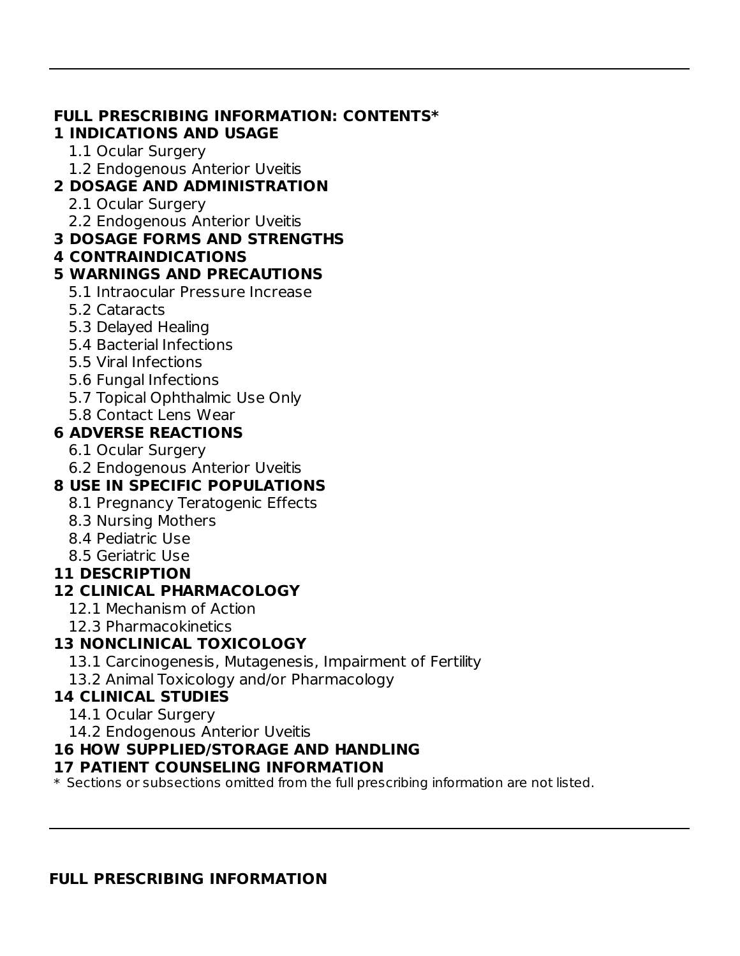# **FULL PRESCRIBING INFORMATION: CONTENTS\***

### **1 INDICATIONS AND USAGE**

- 1.1 Ocular Surgery
- 1.2 Endogenous Anterior Uveitis

## **2 DOSAGE AND ADMINISTRATION**

- 2.1 Ocular Surgery
- 2.2 Endogenous Anterior Uveitis

## **3 DOSAGE FORMS AND STRENGTHS**

**4 CONTRAINDICATIONS**

## **5 WARNINGS AND PRECAUTIONS**

- 5.1 Intraocular Pressure Increase
- 5.2 Cataracts
- 5.3 Delayed Healing
- 5.4 Bacterial Infections
- 5.5 Viral Infections
- 5.6 Fungal Infections
- 5.7 Topical Ophthalmic Use Only

## 5.8 Contact Lens Wear

## **6 ADVERSE REACTIONS**

- 6.1 Ocular Surgery
- 6.2 Endogenous Anterior Uveitis

# **8 USE IN SPECIFIC POPULATIONS**

- 8.1 Pregnancy Teratogenic Effects
- 8.3 Nursing Mothers
- 8.4 Pediatric Use
- 8.5 Geriatric Use

### **11 DESCRIPTION**

# **12 CLINICAL PHARMACOLOGY**

- 12.1 Mechanism of Action
- 12.3 Pharmacokinetics

# **13 NONCLINICAL TOXICOLOGY**

- 13.1 Carcinogenesis, Mutagenesis, Impairment of Fertility
- 13.2 Animal Toxicology and/or Pharmacology

# **14 CLINICAL STUDIES**

- 14.1 Ocular Surgery
- 14.2 Endogenous Anterior Uveitis

# **16 HOW SUPPLIED/STORAGE AND HANDLING**

### **17 PATIENT COUNSELING INFORMATION**

 $\ast$  Sections or subsections omitted from the full prescribing information are not listed.

#### **FULL PRESCRIBING INFORMATION**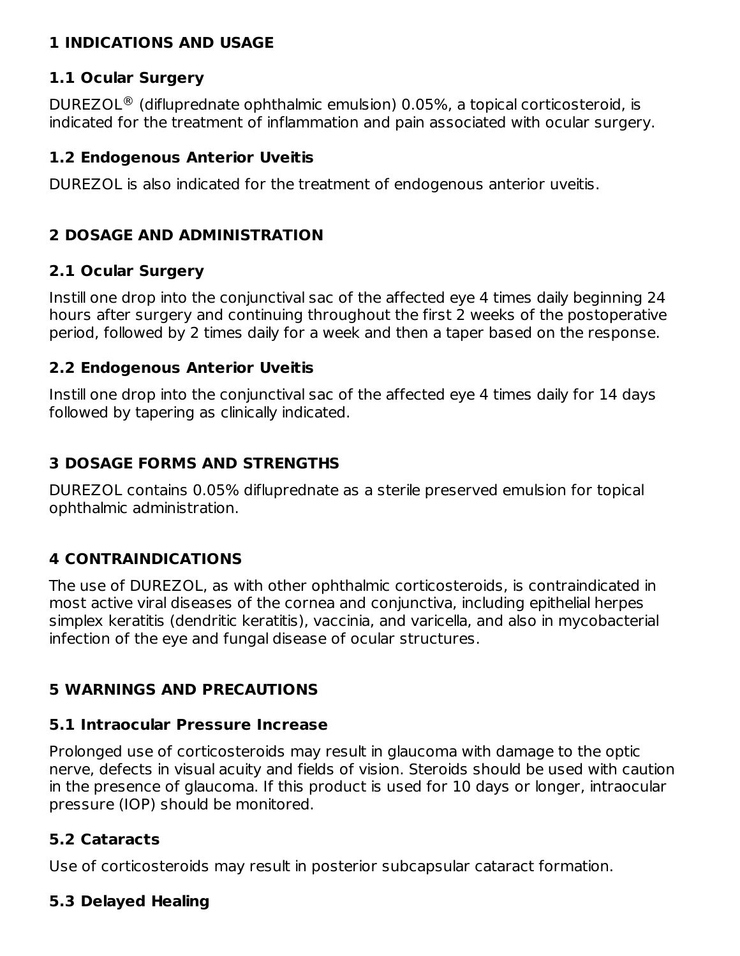#### **1 INDICATIONS AND USAGE**

#### **1.1 Ocular Surgery**

DUREZOL<sup>®</sup> (difluprednate ophthalmic emulsion) 0.05%, a topical corticosteroid, is indicated for the treatment of inflammation and pain associated with ocular surgery.

#### **1.2 Endogenous Anterior Uveitis**

DUREZOL is also indicated for the treatment of endogenous anterior uveitis.

#### **2 DOSAGE AND ADMINISTRATION**

#### **2.1 Ocular Surgery**

Instill one drop into the conjunctival sac of the affected eye 4 times daily beginning 24 hours after surgery and continuing throughout the first 2 weeks of the postoperative period, followed by 2 times daily for a week and then a taper based on the response.

#### **2.2 Endogenous Anterior Uveitis**

Instill one drop into the conjunctival sac of the affected eye 4 times daily for 14 days followed by tapering as clinically indicated.

### **3 DOSAGE FORMS AND STRENGTHS**

DUREZOL contains 0.05% difluprednate as a sterile preserved emulsion for topical ophthalmic administration.

### **4 CONTRAINDICATIONS**

The use of DUREZOL, as with other ophthalmic corticosteroids, is contraindicated in most active viral diseases of the cornea and conjunctiva, including epithelial herpes simplex keratitis (dendritic keratitis), vaccinia, and varicella, and also in mycobacterial infection of the eye and fungal disease of ocular structures.

### **5 WARNINGS AND PRECAUTIONS**

#### **5.1 Intraocular Pressure Increase**

Prolonged use of corticosteroids may result in glaucoma with damage to the optic nerve, defects in visual acuity and fields of vision. Steroids should be used with caution in the presence of glaucoma. If this product is used for 10 days or longer, intraocular pressure (IOP) should be monitored.

#### **5.2 Cataracts**

Use of corticosteroids may result in posterior subcapsular cataract formation.

#### **5.3 Delayed Healing**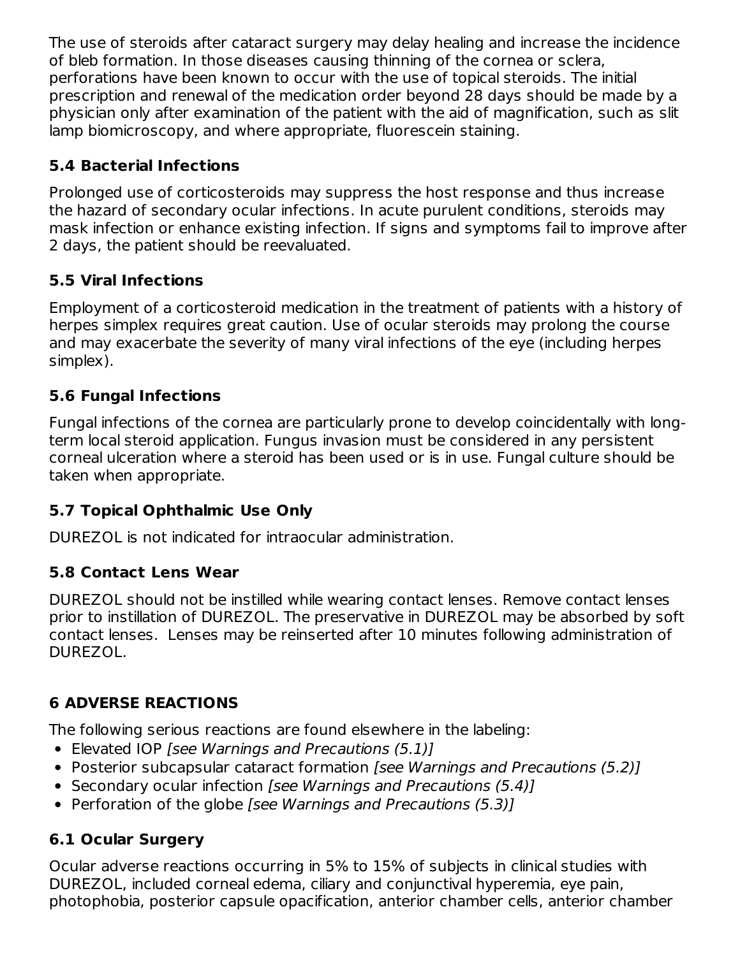The use of steroids after cataract surgery may delay healing and increase the incidence of bleb formation. In those diseases causing thinning of the cornea or sclera, perforations have been known to occur with the use of topical steroids. The initial prescription and renewal of the medication order beyond 28 days should be made by a physician only after examination of the patient with the aid of magnification, such as slit lamp biomicroscopy, and where appropriate, fluorescein staining.

## **5.4 Bacterial Infections**

Prolonged use of corticosteroids may suppress the host response and thus increase the hazard of secondary ocular infections. In acute purulent conditions, steroids may mask infection or enhance existing infection. If signs and symptoms fail to improve after 2 days, the patient should be reevaluated.

## **5.5 Viral Infections**

Employment of a corticosteroid medication in the treatment of patients with a history of herpes simplex requires great caution. Use of ocular steroids may prolong the course and may exacerbate the severity of many viral infections of the eye (including herpes simplex).

### **5.6 Fungal Infections**

Fungal infections of the cornea are particularly prone to develop coincidentally with longterm local steroid application. Fungus invasion must be considered in any persistent corneal ulceration where a steroid has been used or is in use. Fungal culture should be taken when appropriate.

### **5.7 Topical Ophthalmic Use Only**

DUREZOL is not indicated for intraocular administration.

### **5.8 Contact Lens Wear**

DUREZOL should not be instilled while wearing contact lenses. Remove contact lenses prior to instillation of DUREZOL. The preservative in DUREZOL may be absorbed by soft contact lenses. Lenses may be reinserted after 10 minutes following administration of DUREZOL.

# **6 ADVERSE REACTIONS**

The following serious reactions are found elsewhere in the labeling:

- Elevated IOP [see Warnings and Precautions (5.1)]
- Posterior subcapsular cataract formation *[see Warnings and Precautions (5.2)]*
- Secondary ocular infection [see Warnings and Precautions (5.4)]
- Perforation of the globe [see Warnings and Precautions (5.3)]

# **6.1 Ocular Surgery**

Ocular adverse reactions occurring in 5% to 15% of subjects in clinical studies with DUREZOL, included corneal edema, ciliary and conjunctival hyperemia, eye pain, photophobia, posterior capsule opacification, anterior chamber cells, anterior chamber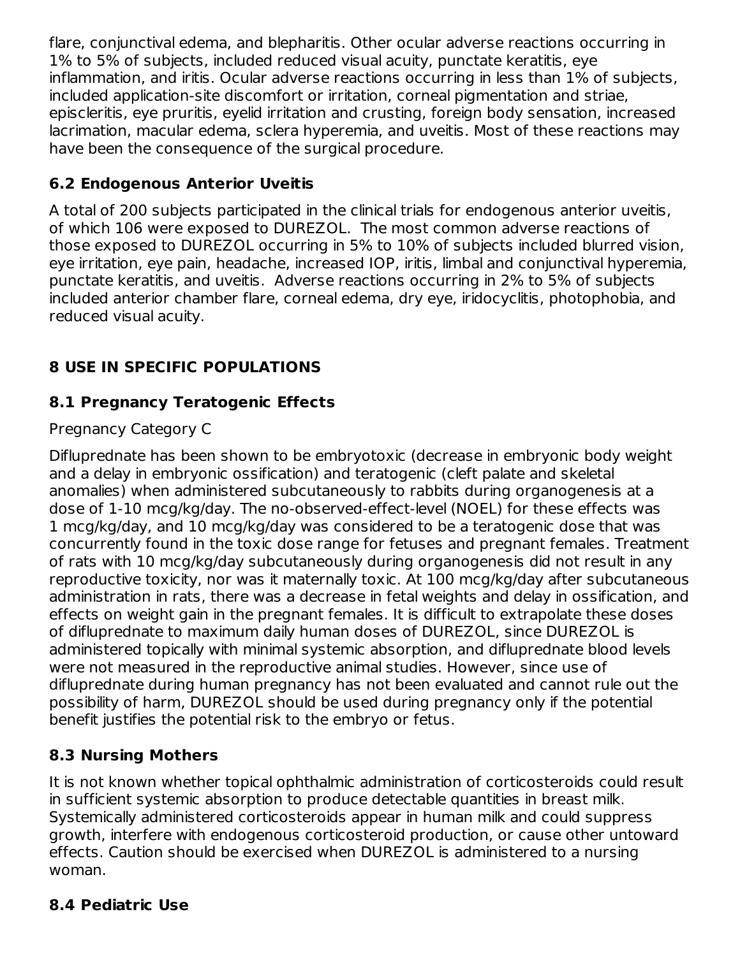flare, conjunctival edema, and blepharitis. Other ocular adverse reactions occurring in 1% to 5% of subjects, included reduced visual acuity, punctate keratitis, eye inflammation, and iritis. Ocular adverse reactions occurring in less than 1% of subjects, included application-site discomfort or irritation, corneal pigmentation and striae, episcleritis, eye pruritis, eyelid irritation and crusting, foreign body sensation, increased lacrimation, macular edema, sclera hyperemia, and uveitis. Most of these reactions may have been the consequence of the surgical procedure.

## **6.2 Endogenous Anterior Uveitis**

A total of 200 subjects participated in the clinical trials for endogenous anterior uveitis, of which 106 were exposed to DUREZOL. The most common adverse reactions of those exposed to DUREZOL occurring in 5% to 10% of subjects included blurred vision, eye irritation, eye pain, headache, increased IOP, iritis, limbal and conjunctival hyperemia, punctate keratitis, and uveitis. Adverse reactions occurring in 2% to 5% of subjects included anterior chamber flare, corneal edema, dry eye, iridocyclitis, photophobia, and reduced visual acuity.

# **8 USE IN SPECIFIC POPULATIONS**

## **8.1 Pregnancy Teratogenic Effects**

### Pregnancy Category C

Difluprednate has been shown to be embryotoxic (decrease in embryonic body weight and a delay in embryonic ossification) and teratogenic (cleft palate and skeletal anomalies) when administered subcutaneously to rabbits during organogenesis at a dose of 1-10 mcg/kg/day. The no-observed-effect-level (NOEL) for these effects was 1 mcg/kg/day, and 10 mcg/kg/day was considered to be a teratogenic dose that was concurrently found in the toxic dose range for fetuses and pregnant females. Treatment of rats with 10 mcg/kg/day subcutaneously during organogenesis did not result in any reproductive toxicity, nor was it maternally toxic. At 100 mcg/kg/day after subcutaneous administration in rats, there was a decrease in fetal weights and delay in ossification, and effects on weight gain in the pregnant females. It is difficult to extrapolate these doses of difluprednate to maximum daily human doses of DUREZOL, since DUREZOL is administered topically with minimal systemic absorption, and difluprednate blood levels were not measured in the reproductive animal studies. However, since use of difluprednate during human pregnancy has not been evaluated and cannot rule out the possibility of harm, DUREZOL should be used during pregnancy only if the potential benefit justifies the potential risk to the embryo or fetus.

### **8.3 Nursing Mothers**

It is not known whether topical ophthalmic administration of corticosteroids could result in sufficient systemic absorption to produce detectable quantities in breast milk. Systemically administered corticosteroids appear in human milk and could suppress growth, interfere with endogenous corticosteroid production, or cause other untoward effects. Caution should be exercised when DUREZOL is administered to a nursing woman.

### **8.4 Pediatric Use**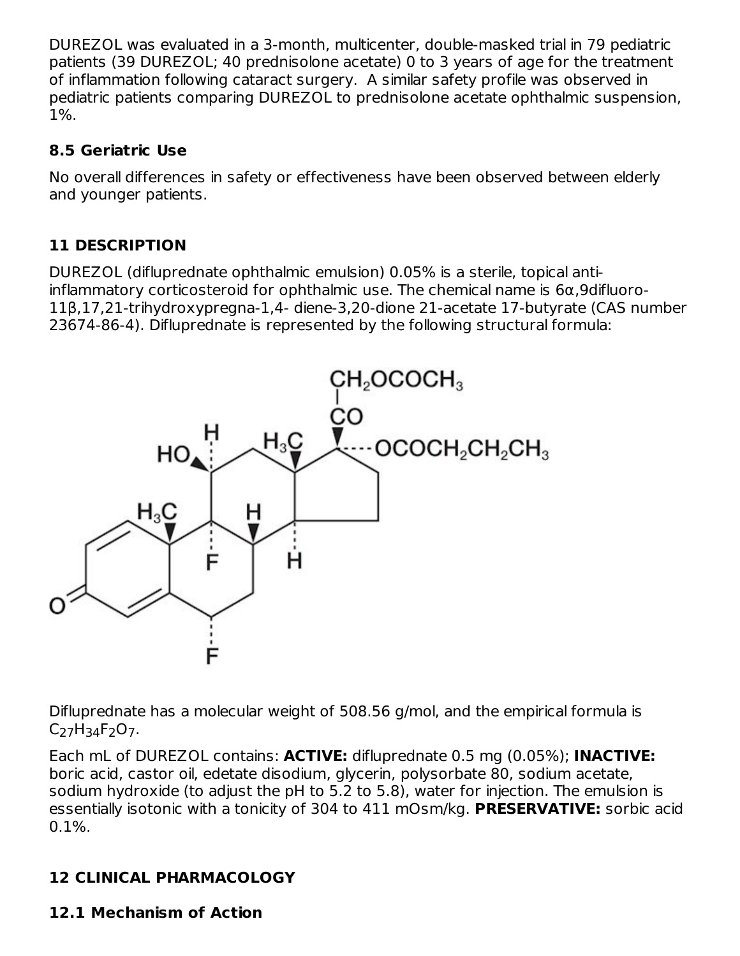DUREZOL was evaluated in a 3-month, multicenter, double-masked trial in 79 pediatric patients (39 DUREZOL; 40 prednisolone acetate) 0 to 3 years of age for the treatment of inflammation following cataract surgery. A similar safety profile was observed in pediatric patients comparing DUREZOL to prednisolone acetate ophthalmic suspension, 1%.

### **8.5 Geriatric Use**

No overall differences in safety or effectiveness have been observed between elderly and younger patients.

# **11 DESCRIPTION**

DUREZOL (difluprednate ophthalmic emulsion) 0.05% is a sterile, topical antiinflammatory corticosteroid for ophthalmic use. The chemical name is 6α,9difluoro-11β,17,21-trihydroxypregna-1,4- diene-3,20-dione 21-acetate 17-butyrate (CAS number 23674-86-4). Difluprednate is represented by the following structural formula:



Difluprednate has a molecular weight of 508.56 g/mol, and the empirical formula is C<sub>27</sub>H<sub>34</sub>F<sub>2</sub>O<sub>7</sub>.

Each mL of DUREZOL contains: **ACTIVE:** difluprednate 0.5 mg (0.05%); **INACTIVE:** boric acid, castor oil, edetate disodium, glycerin, polysorbate 80, sodium acetate, sodium hydroxide (to adjust the pH to 5.2 to 5.8), water for injection. The emulsion is essentially isotonic with a tonicity of 304 to 411 mOsm/kg. **PRESERVATIVE:** sorbic acid  $0.1\%$ .

# **12 CLINICAL PHARMACOLOGY**

### **12.1 Mechanism of Action**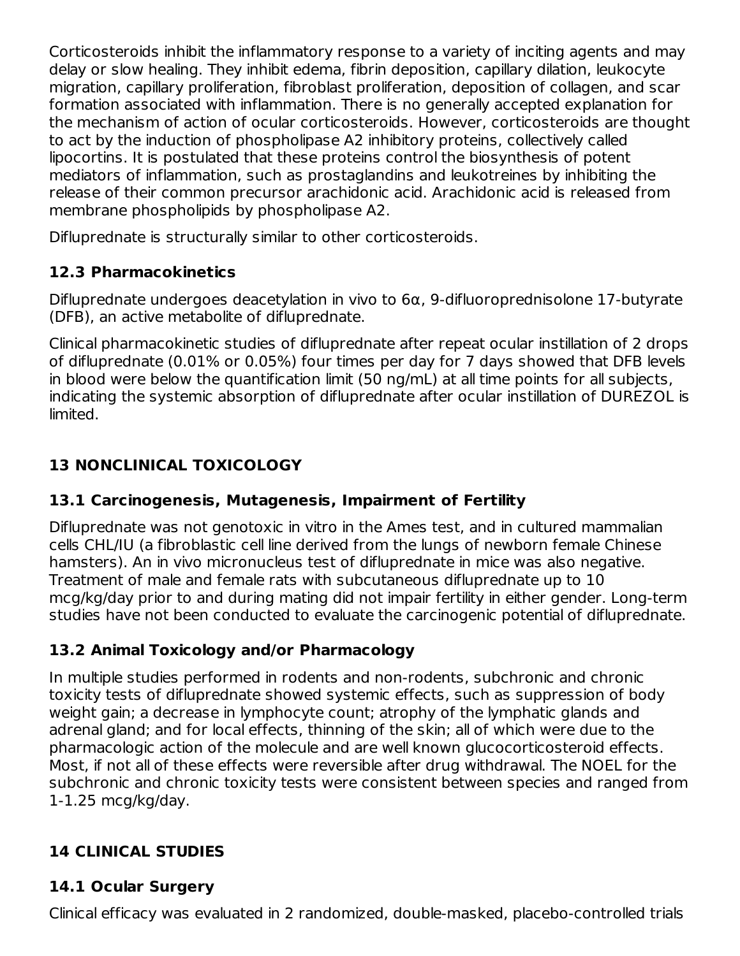Corticosteroids inhibit the inflammatory response to a variety of inciting agents and may delay or slow healing. They inhibit edema, fibrin deposition, capillary dilation, leukocyte migration, capillary proliferation, fibroblast proliferation, deposition of collagen, and scar formation associated with inflammation. There is no generally accepted explanation for the mechanism of action of ocular corticosteroids. However, corticosteroids are thought to act by the induction of phospholipase A2 inhibitory proteins, collectively called lipocortins. It is postulated that these proteins control the biosynthesis of potent mediators of inflammation, such as prostaglandins and leukotreines by inhibiting the release of their common precursor arachidonic acid. Arachidonic acid is released from membrane phospholipids by phospholipase A2.

Difluprednate is structurally similar to other corticosteroids.

# **12.3 Pharmacokinetics**

Difluprednate undergoes deacetylation in vivo to 6α, 9-difluoroprednisolone 17-butyrate (DFB), an active metabolite of difluprednate.

Clinical pharmacokinetic studies of difluprednate after repeat ocular instillation of 2 drops of difluprednate (0.01% or 0.05%) four times per day for 7 days showed that DFB levels in blood were below the quantification limit (50 ng/mL) at all time points for all subjects, indicating the systemic absorption of difluprednate after ocular instillation of DUREZOL is limited.

# **13 NONCLINICAL TOXICOLOGY**

# **13.1 Carcinogenesis, Mutagenesis, Impairment of Fertility**

Difluprednate was not genotoxic in vitro in the Ames test, and in cultured mammalian cells CHL/IU (a fibroblastic cell line derived from the lungs of newborn female Chinese hamsters). An in vivo micronucleus test of difluprednate in mice was also negative. Treatment of male and female rats with subcutaneous difluprednate up to 10 mcg/kg/day prior to and during mating did not impair fertility in either gender. Long-term studies have not been conducted to evaluate the carcinogenic potential of difluprednate.

# **13.2 Animal Toxicology and/or Pharmacology**

In multiple studies performed in rodents and non-rodents, subchronic and chronic toxicity tests of difluprednate showed systemic effects, such as suppression of body weight gain; a decrease in lymphocyte count; atrophy of the lymphatic glands and adrenal gland; and for local effects, thinning of the skin; all of which were due to the pharmacologic action of the molecule and are well known glucocorticosteroid effects. Most, if not all of these effects were reversible after drug withdrawal. The NOEL for the subchronic and chronic toxicity tests were consistent between species and ranged from 1-1.25 mcg/kg/day.

# **14 CLINICAL STUDIES**

# **14.1 Ocular Surgery**

Clinical efficacy was evaluated in 2 randomized, double-masked, placebo-controlled trials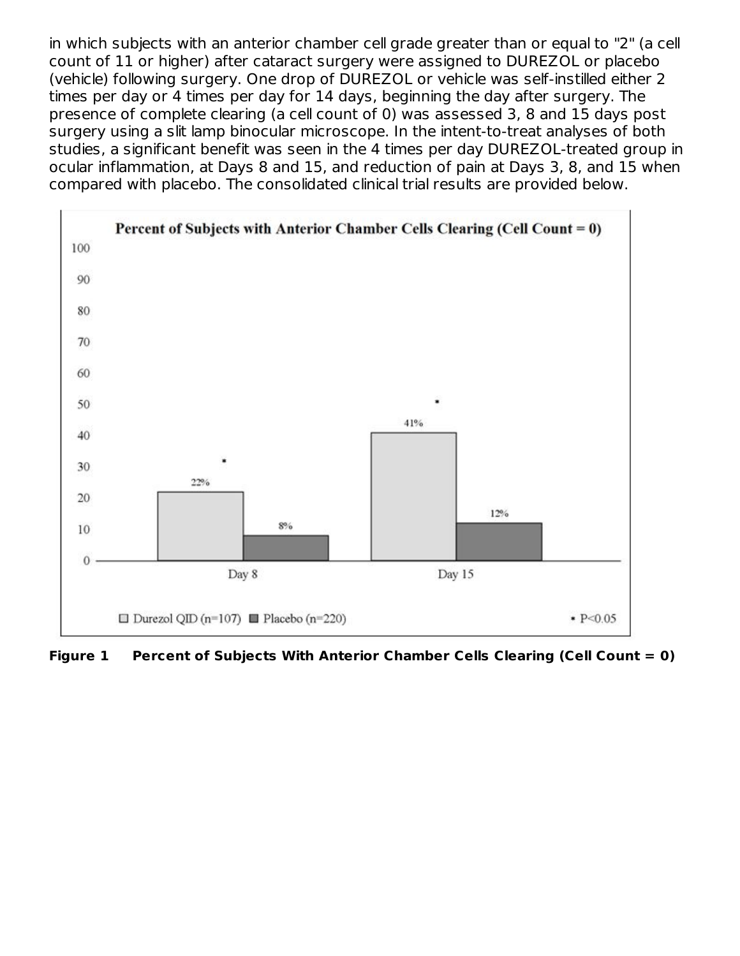in which subjects with an anterior chamber cell grade greater than or equal to "2" (a cell count of 11 or higher) after cataract surgery were assigned to DUREZOL or placebo (vehicle) following surgery. One drop of DUREZOL or vehicle was self-instilled either 2 times per day or 4 times per day for 14 days, beginning the day after surgery. The presence of complete clearing (a cell count of 0) was assessed 3, 8 and 15 days post surgery using a slit lamp binocular microscope. In the intent-to-treat analyses of both studies, a significant benefit was seen in the 4 times per day DUREZOL-treated group in ocular inflammation, at Days 8 and 15, and reduction of pain at Days 3, 8, and 15 when compared with placebo. The consolidated clinical trial results are provided below.



**Figure 1 Percent of Subjects With Anterior Chamber Cells Clearing (Cell Count = 0)**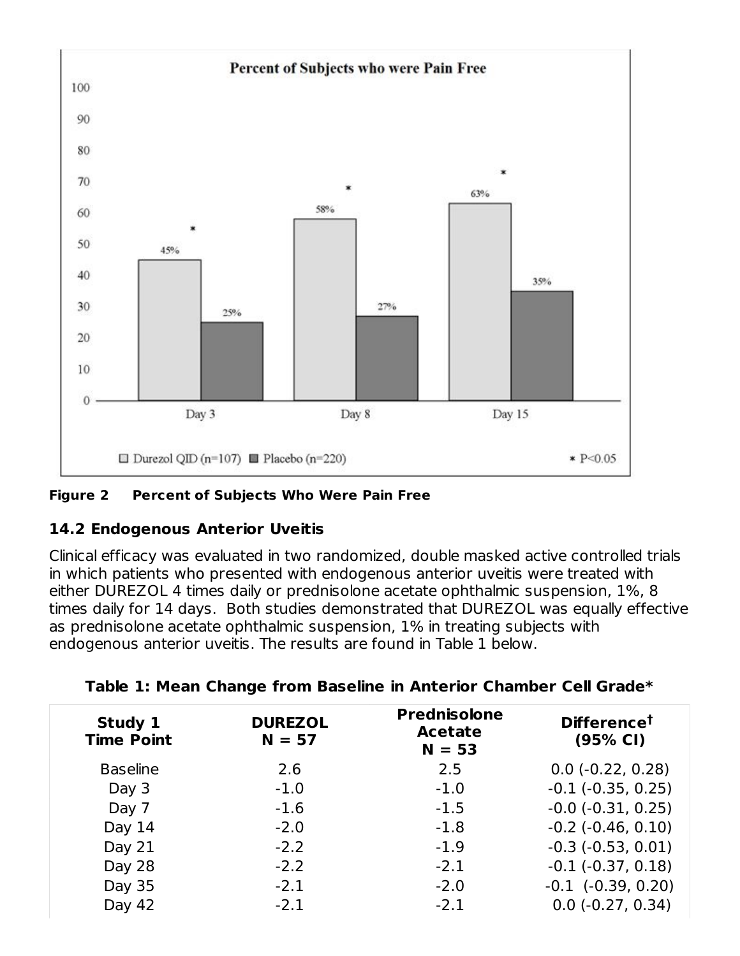



### **14.2 Endogenous Anterior Uveitis**

Clinical efficacy was evaluated in two randomized, double masked active controlled trials in which patients who presented with endogenous anterior uveitis were treated with either DUREZOL 4 times daily or prednisolone acetate ophthalmic suspension, 1%, 8 times daily for 14 days. Both studies demonstrated that DUREZOL was equally effective as prednisolone acetate ophthalmic suspension, 1% in treating subjects with endogenous anterior uveitis. The results are found in Table 1 below.

| Study 1<br><b>Time Point</b> | <b>DUREZOL</b><br>$N = 57$ | <b>Prednisolone</b><br><b>Acetate</b><br>$N = 53$ | <b>Difference<sup>t</sup></b><br>(95% CI) |
|------------------------------|----------------------------|---------------------------------------------------|-------------------------------------------|
| <b>Baseline</b>              | 2.6                        | 2.5                                               | $0.0$ (-0.22, 0.28)                       |
| Day 3                        | $-1.0$                     | $-1.0$                                            | $-0.1$ $(-0.35, 0.25)$                    |
| Day 7                        | $-1.6$                     | $-1.5$                                            | $-0.0$ $(-0.31, 0.25)$                    |
| Day 14                       | $-2.0$                     | $-1.8$                                            | $-0.2$ $(-0.46, 0.10)$                    |
| Day 21                       | $-2.2$                     | $-1.9$                                            | $-0.3$ $(-0.53, 0.01)$                    |
| Day 28                       | $-2.2$                     | $-2.1$                                            | $-0.1$ $(-0.37, 0.18)$                    |
| Day 35                       | $-2.1$                     | $-2.0$                                            | $-0.1$ $(-0.39, 0.20)$                    |
| Day 42                       | $-2.1$                     | $-2.1$                                            | $0.0$ ( $-0.27$ , $0.34$ )                |
|                              |                            |                                                   |                                           |

|  | Table 1: Mean Change from Baseline in Anterior Chamber Cell Grade* |  |  |  |
|--|--------------------------------------------------------------------|--|--|--|
|  |                                                                    |  |  |  |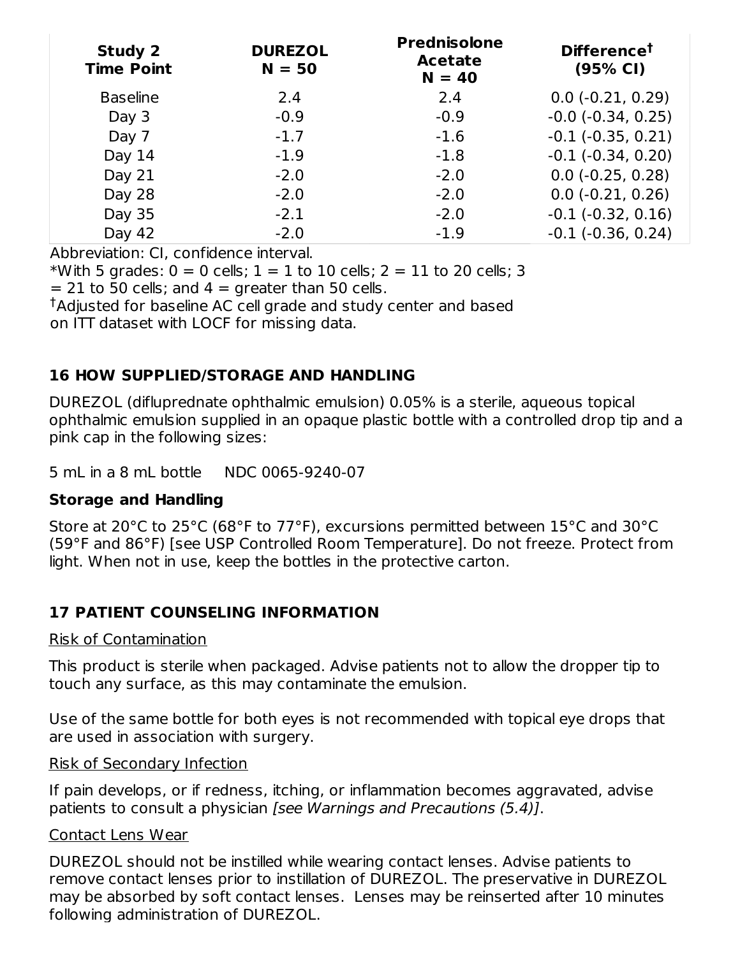| <b>Study 2</b><br><b>Time Point</b> | <b>DUREZOL</b><br>$N = 50$ | <b>Prednisolone</b><br><b>Acetate</b><br>$N = 40$ | Difference <sup>t</sup><br>(95% CI) |
|-------------------------------------|----------------------------|---------------------------------------------------|-------------------------------------|
| <b>Baseline</b>                     | 2.4                        | 2.4                                               | $0.0$ (-0.21, 0.29)                 |
| Day 3                               | $-0.9$                     | $-0.9$                                            | $-0.0$ $(-0.34, 0.25)$              |
| Day 7                               | $-1.7$                     | $-1.6$                                            | $-0.1$ $(-0.35, 0.21)$              |
| Day 14                              | $-1.9$                     | $-1.8$                                            | $-0.1$ $(-0.34, 0.20)$              |
| Day 21                              | $-2.0$                     | $-2.0$                                            | $0.0$ (-0.25, 0.28)                 |
| Day 28                              | $-2.0$                     | $-2.0$                                            | $0.0$ ( $-0.21$ , $0.26$ )          |
| Day 35                              | $-2.1$                     | $-2.0$                                            | $-0.1$ $(-0.32, 0.16)$              |
| Day 42                              | $-2.0$                     | $-1.9$                                            | $-0.1$ $(-0.36, 0.24)$              |

Abbreviation: CI, confidence interval.

\*With 5 grades:  $0 = 0$  cells;  $1 = 1$  to 10 cells;  $2 = 11$  to 20 cells; 3

 $= 21$  to 50 cells; and  $4 =$  greater than 50 cells.

Adjusted for baseline AC cell grade and study center and based † on ITT dataset with LOCF for missing data.

#### **16 HOW SUPPLIED/STORAGE AND HANDLING**

DUREZOL (difluprednate ophthalmic emulsion) 0.05% is a sterile, aqueous topical ophthalmic emulsion supplied in an opaque plastic bottle with a controlled drop tip and a pink cap in the following sizes:

5 mL in a 8 mL bottle NDC 0065-9240-07

#### **Storage and Handling**

Store at 20°C to 25°C (68°F to 77°F), excursions permitted between 15°C and 30°C (59°F and 86°F) [see USP Controlled Room Temperature]. Do not freeze. Protect from light. When not in use, keep the bottles in the protective carton.

# **17 PATIENT COUNSELING INFORMATION**

#### Risk of Contamination

This product is sterile when packaged. Advise patients not to allow the dropper tip to touch any surface, as this may contaminate the emulsion.

Use of the same bottle for both eyes is not recommended with topical eye drops that are used in association with surgery.

#### Risk of Secondary Infection

If pain develops, or if redness, itching, or inflammation becomes aggravated, advise patients to consult a physician [see Warnings and Precautions (5.4)].

#### Contact Lens Wear

DUREZOL should not be instilled while wearing contact lenses. Advise patients to remove contact lenses prior to instillation of DUREZOL. The preservative in DUREZOL may be absorbed by soft contact lenses. Lenses may be reinserted after 10 minutes following administration of DUREZOL.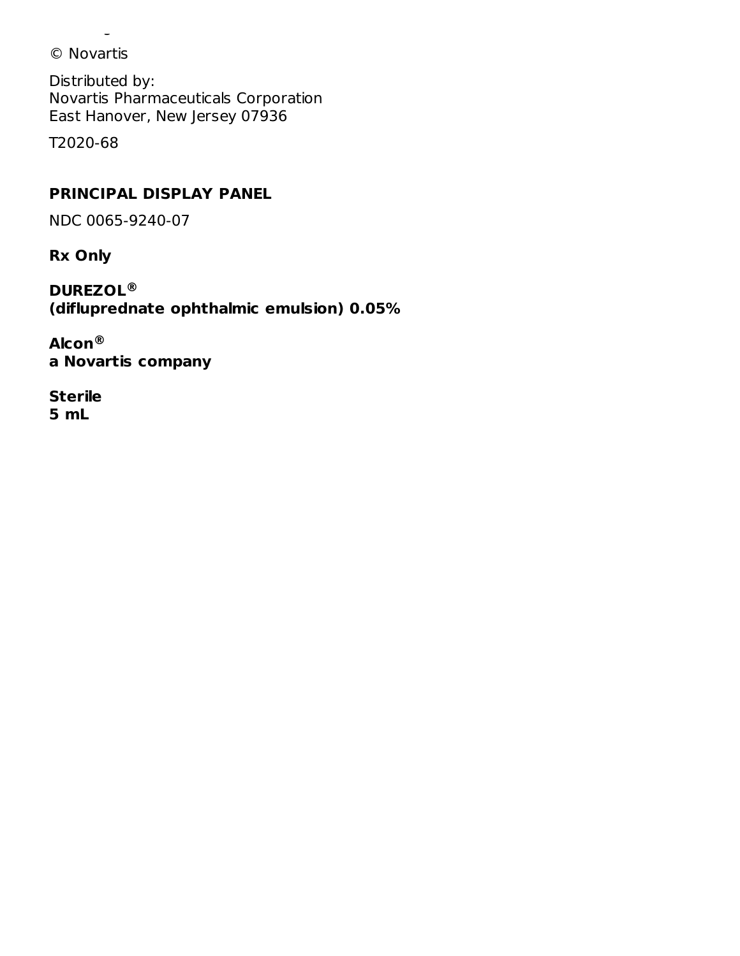© Novartis

Distributed by: Novartis Pharmaceuticals Corporation East Hanover, New Jersey 07936

following administration of DUREZOL.

T2020-68

### **PRINCIPAL DISPLAY PANEL**

NDC 0065-9240-07

**Rx Only**

**DUREZOL ® (difluprednate ophthalmic emulsion) 0.05%**

**Alcon ®a Novartis company**

**Sterile 5 mL**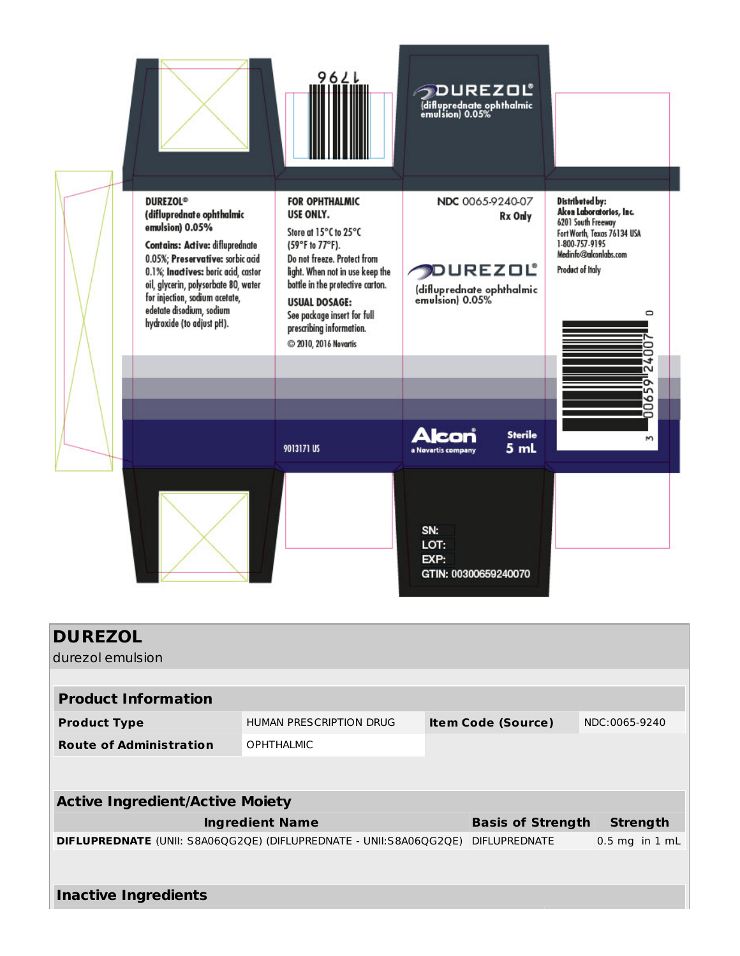

| <b>DUREZOL</b>                                                            |                         |                           |                          |                    |  |
|---------------------------------------------------------------------------|-------------------------|---------------------------|--------------------------|--------------------|--|
| durezol emulsion                                                          |                         |                           |                          |                    |  |
|                                                                           |                         |                           |                          |                    |  |
| <b>Product Information</b>                                                |                         |                           |                          |                    |  |
| <b>Product Type</b>                                                       | HUMAN PRESCRIPTION DRUG | <b>Item Code (Source)</b> |                          | NDC:0065-9240      |  |
| <b>Route of Administration</b>                                            | <b>OPHTHALMIC</b>       |                           |                          |                    |  |
|                                                                           |                         |                           |                          |                    |  |
| <b>Active Ingredient/Active Moiety</b>                                    |                         |                           |                          |                    |  |
|                                                                           | <b>Ingredient Name</b>  |                           | <b>Basis of Strength</b> | <b>Strength</b>    |  |
| <b>DIFLUPREDNATE</b> (UNII: S8A06QG2QE) (DIFLUPREDNATE - UNII:S8A06QG2QE) |                         |                           | <b>DIFLUPREDNATE</b>     | $0.5$ mg in $1$ mL |  |
|                                                                           |                         |                           |                          |                    |  |
| <b>Inactive Ingredients</b>                                               |                         |                           |                          |                    |  |